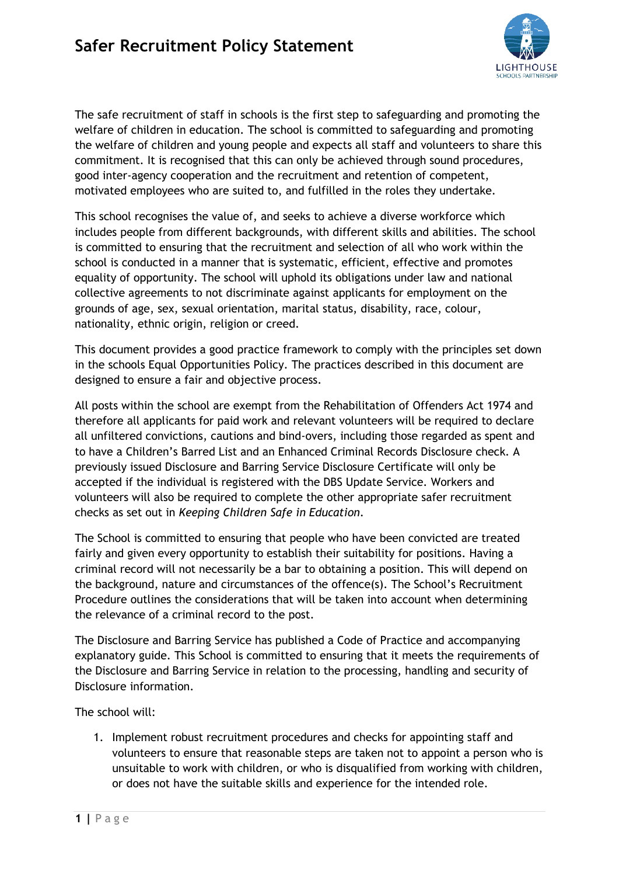

The safe recruitment of staff in schools is the first step to safeguarding and promoting the welfare of children in education. The school is committed to safeguarding and promoting the welfare of children and young people and expects all staff and volunteers to share this commitment. It is recognised that this can only be achieved through sound procedures, good inter-agency cooperation and the recruitment and retention of competent, motivated employees who are suited to, and fulfilled in the roles they undertake.

This school recognises the value of, and seeks to achieve a diverse workforce which includes people from different backgrounds, with different skills and abilities. The school is committed to ensuring that the recruitment and selection of all who work within the school is conducted in a manner that is systematic, efficient, effective and promotes equality of opportunity. The school will uphold its obligations under law and national collective agreements to not discriminate against applicants for employment on the grounds of age, sex, sexual orientation, marital status, disability, race, colour, nationality, ethnic origin, religion or creed.

This document provides a good practice framework to comply with the principles set down in the schools Equal Opportunities Policy. The practices described in this document are designed to ensure a fair and objective process.

All posts within the school are exempt from the Rehabilitation of Offenders Act 1974 and therefore all applicants for paid work and relevant volunteers will be required to declare all unfiltered convictions, cautions and bind-overs, including those regarded as spent and to have a Children's Barred List and an Enhanced Criminal Records Disclosure check. A previously issued Disclosure and Barring Service Disclosure Certificate will only be accepted if the individual is registered with the DBS Update Service. Workers and volunteers will also be required to complete the other appropriate safer recruitment checks as set out in *Keeping Children Safe in Education*.

The School is committed to ensuring that people who have been convicted are treated fairly and given every opportunity to establish their suitability for positions. Having a criminal record will not necessarily be a bar to obtaining a position. This will depend on the background, nature and circumstances of the offence(s). The School's Recruitment Procedure outlines the considerations that will be taken into account when determining the relevance of a criminal record to the post.

The Disclosure and Barring Service has published a Code of Practice and accompanying explanatory guide. This School is committed to ensuring that it meets the requirements of the Disclosure and Barring Service in relation to the processing, handling and security of Disclosure information.

The school will:

1. Implement robust recruitment procedures and checks for appointing staff and volunteers to ensure that reasonable steps are taken not to appoint a person who is unsuitable to work with children, or who is disqualified from working with children, or does not have the suitable skills and experience for the intended role.